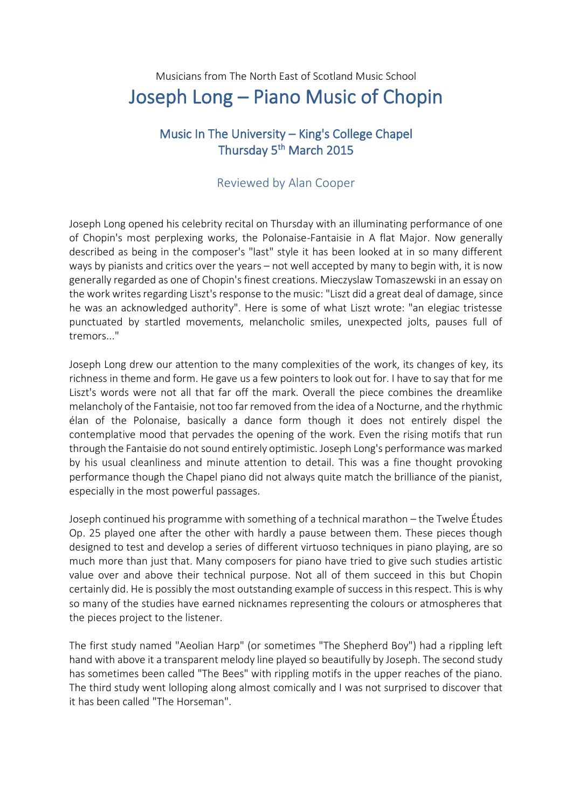## Musicians from The North East of Scotland Music School Joseph Long – Piano Music of Chopin

## Music In The University – King's College Chapel Thursday 5<sup>th</sup> March 2015

## Reviewed by Alan Cooper

Joseph Long opened his celebrity recital on Thursday with an illuminating performance of one of Chopin's most perplexing works, the Polonaise-Fantaisie in A flat Major. Now generally described as being in the composer's "last" style it has been looked at in so many different ways by pianists and critics over the years – not well accepted by many to begin with, it is now generally regarded as one of Chopin's finest creations. Mieczyslaw Tomaszewski in an essay on the work writes regarding Liszt's response to the music: "Liszt did a great deal of damage, since he was an acknowledged authority". Here is some of what Liszt wrote: "an elegiac tristesse punctuated by startled movements, melancholic smiles, unexpected jolts, pauses full of tremors..."

Joseph Long drew our attention to the many complexities of the work, its changes of key, its richness in theme and form. He gave us a few pointers to look out for. I have to say that for me Liszt's words were not all that far off the mark. Overall the piece combines the dreamlike melancholy of the Fantaisie, not too far removed from the idea of a Nocturne, and the rhythmic élan of the Polonaise, basically a dance form though it does not entirely dispel the contemplative mood that pervades the opening of the work. Even the rising motifs that run through the Fantaisie do not sound entirely optimistic. Joseph Long's performance was marked by his usual cleanliness and minute attention to detail. This was a fine thought provoking performance though the Chapel piano did not always quite match the brilliance of the pianist, especially in the most powerful passages.

Joseph continued his programme with something of a technical marathon – the Twelve Études Op. 25 played one after the other with hardly a pause between them. These pieces though designed to test and develop a series of different virtuoso techniques in piano playing, are so much more than just that. Many composers for piano have tried to give such studies artistic value over and above their technical purpose. Not all of them succeed in this but Chopin certainly did. He is possibly the most outstanding example of success in this respect. This is why so many of the studies have earned nicknames representing the colours or atmospheres that the pieces project to the listener.

The first study named "Aeolian Harp" (or sometimes "The Shepherd Boy") had a rippling left hand with above it a transparent melody line played so beautifully by Joseph. The second study has sometimes been called "The Bees" with rippling motifs in the upper reaches of the piano. The third study went lolloping along almost comically and I was not surprised to discover that it has been called "The Horseman".